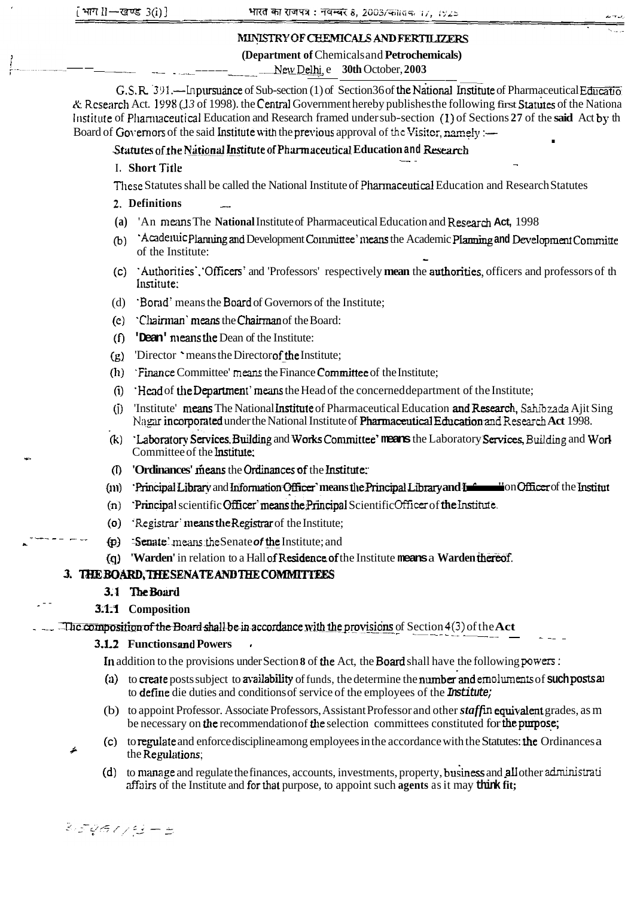# MINISTRY OF CHEMICALS AND FERTILIZERS

## (Department of Chemicals and Petrochemicals)

New Delhi, e 30th October, 2003

G.S.R. 391. - In pursuance of Sub-section (1) of Section 36 of the National Institute of Pharmaceutical Education & Research Act. 1998 (13 of 1998). the Central Government hereby publishes the following first Statutes of the Nationa Institute of Pharmaceutical Education and Research framed under sub-section (1) of Sections 27 of the said Act by th Board of Governors of the said Institute with the previous approval of the Visitor, namely :-

## Statutes of the National Institute of Pharmaceutical Education and Research

## I. Short Title

These Statutes shall be called the National Institute of Pharmaceutical Education and Research Statutes

## 2. Definitions

- (a) 'An means The National Institute of Pharmaceutical Education and Research Act, 1998
- (b) Acadeuvic Planning and Development Committee' means the Academic Planning and Development Committe of the Institute:
- (c) Authorities', 'Officers' and 'Professors' respectively mean the authorities, officers and professors of the Institute:
- (d) Borad' means the Board of Governors of the Institute;
- (e) Chairman' means the Chairman of the Board:
- (f) **Dean' means the Dean of the Institute:**
- $(g)$  Director 'means the Director of the Institute:
- (h) Finance Committee' means the Finance Committee of the Institute;
- (i) Head of the Department' means the Head of the concerned department of the Institute;
- (j) 'Institute' means The National Institute of Pharmaceutical Education and Research, Sahibzada Ajit Sing Nagar incorporated under the National Institute of Pharmaceutical Education and Research Act 1998.
- (k) Laboratory Services, Building and Works Committee' means the Laboratory Services, Building and Worl Committee of the Institute:
- (I) 'Ordinances' means the Ordinances of the Institute.
- (iii) Principal Library and Information Officer' means the Principal Library and Information Officer of the Institut
- (n) Principal scientific Officer' means the Principal Scientific Officer of the Institute.
- (o) Registrar' means the Registrar of the Institute;
- $\phi$  : Senate' means the Senate of the Institute; and
- (q) 'Warden' in relation to a Hall of Residence of the Institute means a Warden thereof.

## 3. THE BOARD, THE SENATE AND THE COMMITTEES

## 3.1 The Board

## 3.1.1 Composition

The composition of the Board shall be in accordance with the provisions of Section 4(3) of the Act

## **3.1.2 Functions and Powers**

In addition to the provisions under Section 8 of the Act, the Board shall have the following powers:

- (a) to create posts subject to availability of funds, the determine the number and emoluments of such posts and to define die duties and conditions of service of the employees of the Institute;
- (b) to appoint Professor. Associate Professors, Assistant Professor and other *staff* in equivalent grades, as m be necessary on the recommendation of the selection committees constituted for the purpose;
- (c) to regulate and enforce discipline among employees in the accordance with the Statutes: the Ordinances a the Regulations:
	- to manage and regulate the finances, accounts, investments, property, business and all other administration  $(d)$ affairs of the Institute and for that purpose, to appoint such agents as it may think fit;

BIGANG - 5

≠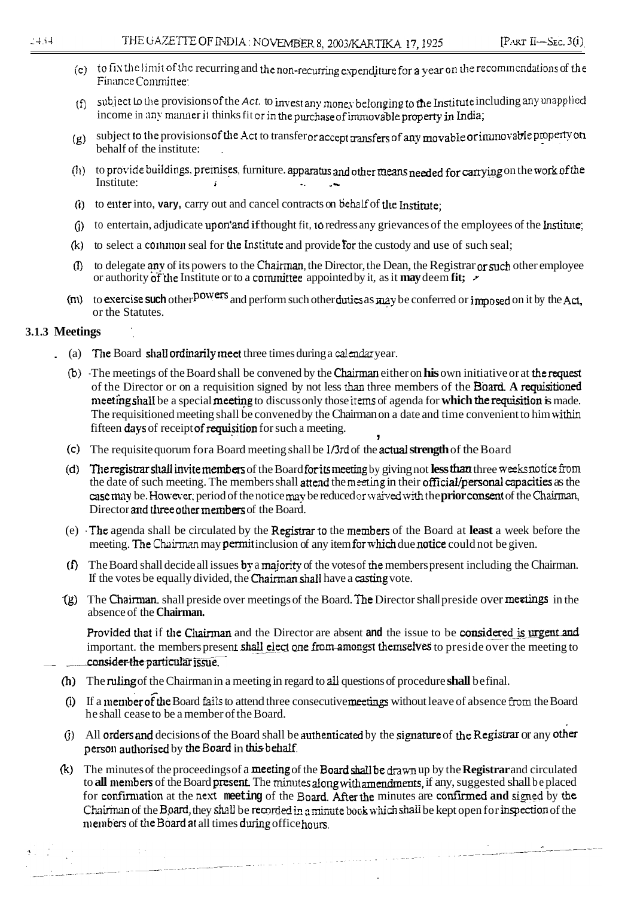- (c) to fix the limit of the recurring and the non-recurring expenditure for a year on the recommendations of the Finance Committee:
- subject to the provisions of the Act. to invest any money belonging to the Institute including any unapplied  $(f)$ income in any manner it thinks fit or in the purchase of immovable property in India;
- $(g)$  subject to the provisions of the Act to transferor accept transfers of any movable or immovable property on behalf of the institute:
- (h) to provide buildings, premises, furniture. apparatus and other means needed for carrying on the work of the Institute:  $\mathbf{r}$  $\mathbf{L}$
- (i) to enter into, vary, carry out and cancel contracts on behalf of the Institute;
- (j) to entertain, adjudicate upon'and if thought fit, to redress any grievances of the employees of the Institute;
- (k) to select a common seal for the Institute and provide for the custody and use of such seal;
- (f) to delegate any of its powers to the Chairman, the Director, the Dean, the Registrar or such other employee or authority of the Institute or to a committee appointed by it, as it may deem fit;  $\sim$
- ( $\pi$ ) to exercise such other  $^{powers}$  and perform such other duties as may be conferred or imposed on it by the Act, or the Statutes.

## 3.1.3 Meetings

- (a) The Board shall ordinarily meet three times during a calendar year.
	- (b) The meetings of the Board shall be convened by the Chairman either on his own initiative or at the request of the Director or on a requisition signed by not less than three members of the Board. A requisitioned meeting shall be a special meeting to discuss only those items of agenda for which the requisition is made. The requisitioned meeting shall be convened by the Chairman on a date and time convenient to him within fifteen days of receipt of requisition for such a meeting. y
	- (c) The requisite quorum for a Board meeting shall be  $1/3$ rd of the actual strength of the Board
	- (d) The registrar shall invite members of the Board for its meeting by giving not less than three weeks notice from the date of such meeting. The members shall attend the meeting in their official/personal capacities as the case may be. However, period of the notice may be reduced or waived with the prior consent of the Chairman, Director and three other members of the Board.
	- (e) The agenda shall be circulated by the Registrar to the members of the Board at least a week before the meeting. The Chairman may permit inclusion of any item for which due notice could not be given.
	- (f) The Board shall decide all issues by a majority of the votes of the members present including the Chairman. If the votes be equally divided, the Chairman shall have a casting vote.
	- (g) The Chairman, shall preside over meetings of the Board. The Director shall preside over meetings in the absence of the Chairman.

Provided that if the Chairman and the Director are absent and the issue to be considered is urgent and important. the members present shall elect one from amongst themselves to preside over the meeting to consider the particular issue.

- (h) The ruling of the Chairman in a meeting in regard to all questions of procedure shall be final.
- (i) If a member of the Board fails to attend three consecutive meetings without leave of absence from the Board he shall cease to be a member of the Board.
- (j) All orders and decisions of the Board shall be authenticated by the signature of the Registrar or any other person authorised by the Board in this behalf.
- (k) The minutes of the proceedings of a meeting of the Board shall be drawn up by the Registrar and circulated to all members of the Board present. The minutes along with amendments, if any, suggested shall be placed for confirmation at the next meeting of the Board. After the minutes are confirmed and signed by the Chairman of the Board, they shall be recorded in a minute book which shall be kept open for inspection of the members of the Board at all times during office hours.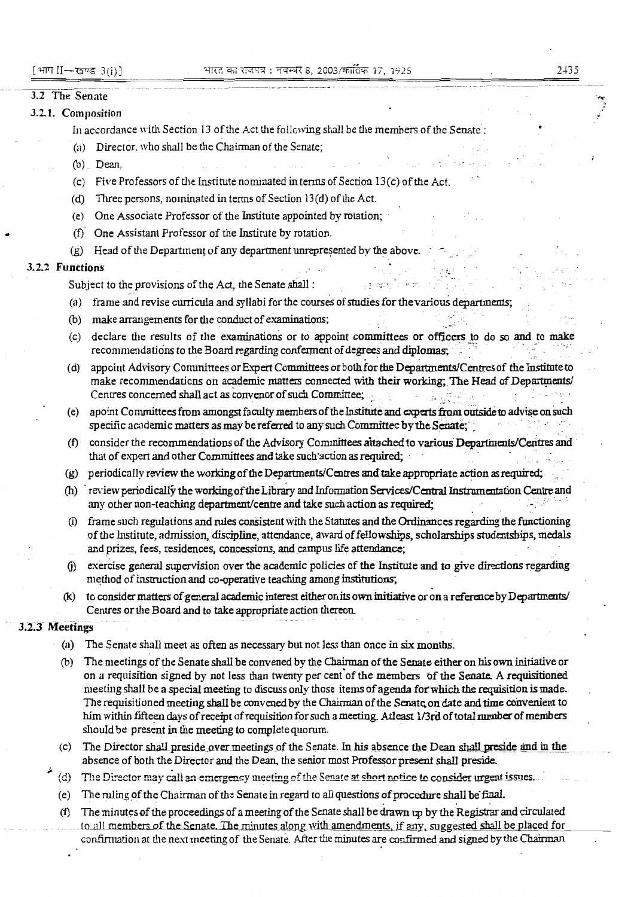## $2 + 35$

### 3.2 The Senate

### 3.2.1. Composition

In accordance with Section 13 of the Act the following shall be the members of the Senate:

- (a) Director, who shall be the Chairman of the Senate;
- (b) Dean.
- (c) Five Professors of the Institute nominated in terms of Section 13(c) of the Act.
- (d) Three persons, nominated in terms of Section 13(d) of the Act.
- (e) One Associate Professor of the Institute appointed by rotation;
- (f) One Assistant Professor of the Institute by rotation.
- (g) Head of the Department of any department unrepresented by the above.

### 3.2.2 Functions

Subject to the provisions of the Act, the Senate shall :

- (a) frame and revise curricula and syllabi for the courses of studies for the various departments;
- (b) make arrangements for the conduct of examinations;
- (c) declare the results of the examinations or to appoint committees or officers to do so and to make recommendations to the Board regarding conferment of degrees and diplomas;
- (d) appoint Advisory Committees or Expert Committees or both for the Departments/Centres of the Institute to make recommendations on academic matters connected with their working; The Head of Departments/ Centres concerned shall act as convenor of such Committee;
- apoint Committees from amongst faculty members of the Institute and experts from outside to advise on such specific academic matters as may be referred to any such Committee by the Senate:
- (f) consider the recommendations of the Advisory Committees attached to various Departments/Centres and that of expert and other Committees and take such action as required;
- (g) periodically review the working of the Departments/Centres and take appropriate action as required;
- (h) review periodically the working of the Library and Information Services/Central Instrumentation Centre and any other non-teaching department/centre and take such action as required;
- frame such regulations and rules consistent with the Statutes and the Ordinances regarding the functioning  $(i)$ of the Institute, admission, discipline, attendance, award of fellowships, scholarships studentships, medals and prizes, fees, residences, concessions, and campus life attendance;
- exercise general supervision over the academic policies of the Institute and to give directions regarding  $(i)$ method of instruction and co-operative teaching among institutions;
- to consider matters of general academic interest either on its own initiative or on a reference by Departments/  $(k)$ Centres or the Board and to take appropriate action thereon.

## 3.2.3 Meetings

- (a) The Senate shall meet as often as necessary but not less than once in six months.
- (b) The meetings of the Senate shall be convened by the Chairman of the Senate either on his own initiative or on a requisition signed by not less than twenty per cent of the members of the Senate. A requisitioned meeting shall be a special meeting to discuss only those items of agenda for which the requisition is made. The requisitioned meeting shall be convened by the Chairman of the Senate on date and time convenient to him within fifteen days of receipt of requisition for such a meeting. Atleast 1/3rd of total number of members should be present in the meeting to complete quorum.
- The Director shall preside over meetings of the Senate. In his absence the Dean shall preside and in the  $(c)$ absence of both the Director and the Dean, the senior most Professor present shall preside.
- $(d)$ The Director may call an emergency meeting of the Senate at short notice to consider urgent issues.
- (e) The ruling of the Chairman of the Senate in regard to all questions of procedure shall be final.
- (f) The minutes of the proceedings of a meeting of the Senate shall be drawn up by the Registrar and circulated to all members of the Senate. The minutes along with amendments, if any, suggested shall be placed for confirmation at the next meeting of the Senate. After the minutes are confirmed and signed by the Chairman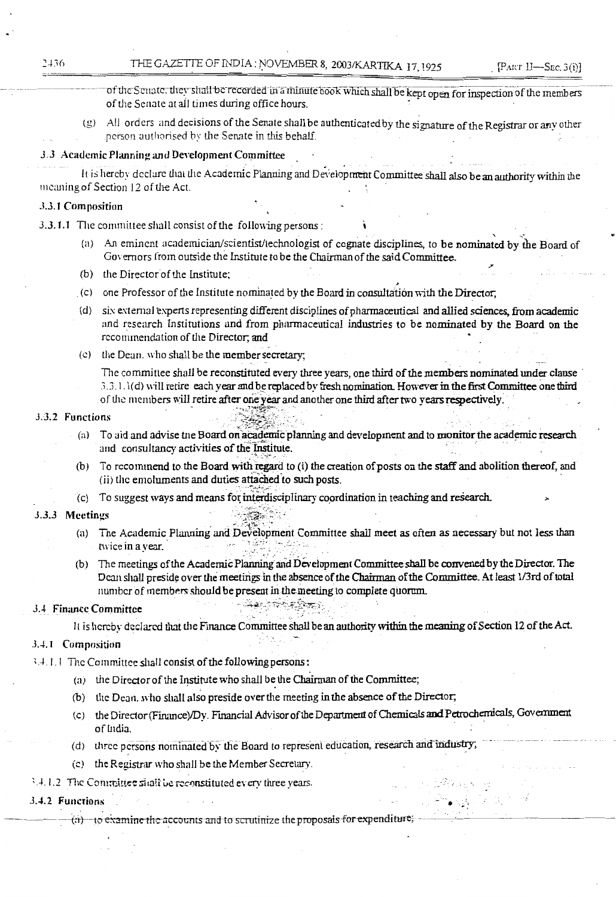- of the Senate, they shall be recorded in a minute book which shall be kept open for inspection of the members of the Senate at all times during office hours.
- (g) All orders and decisions of the Senate shall be authenticated by the signature of the Registrar or any other person authorised by the Senate in this behalf.

## 3.3 Academic Planning and Development Committee

It is hereby declare that the Academic Planning and Development Committee shall also be an authority within the meaning of Section 12 of the Act.

## 3.3.1 Composition

3.3.1.1 The committee shall consist of the following persons:

- (a) An eminent academician/scientist/technologist of cognate disciplines, to be nominated by the Board of Governors from outside the Institute to be the Chairman of the said Committee.
- (b) the Director of the Institute:
- (c) one Professor of the Institute nominated by the Board in consultation with the Director.
- (d) six external experts representing different disciplines of pharmaceutical and allied sciences, from academic and research Institutions and from pharmaceutical industries to be nominated by the Board on the recommendation of the Director, and
- (c) the Dean, who shall be the member secretary;

The committee shall be reconstituted every three years, one third of the members nominated under clause 3.3.1.1(d) will retire each year and be replaced by fresh nomination. However in the first Committee one third of the members will retire after one year and another one third after two vears respectively.

## 3.3.2 Functions

- (a) To aid and advise the Board on academic planning and development and to monitor the academic research and consultancy activities of the Institute.
- (b) To recommend to the Board with regard to (i) the creation of posts on the staff and abolition thereof, and (ii) the emoluments and duties attached to such posts.
- (c) To suggest ways and means for interdisciplinary coordination in teaching and research.

<u> સેન્ટ પ્રાણેલે કોશિસ્ટ રે</u>

### 3.3.3 Meetings

- (a) The Academic Planning and Development Committee shall meet as often as necessary but not less than twice in a year.
- (b) The meetings of the Academic Planning and Development Committee shall be convened by the Director. The Dean shall preside over the meetings in the absence of the Chairman of the Committee. At least 1/3rd of total number of members should be present in the meeting to complete quorum.

## 3.4 Finance Committee

It is hereby declared that the Finance Committee shall be an authority within the meaning of Section 12 of the Act.

### 3.4.1 Composition

- 3.4.1.1 The Committee shall consist of the following persons:
	- (a) the Director of the Institute who shall be the Chairman of the Committee;
	- (b) the Dean, who shall also preside over the meeting in the absence of the Director;
	- (c) the Director (Finance)/Dy. Financial Advisor of the Department of Chemicals and Petrochemicals, Government of India.

 $\mathbb{R}^2\mathbb{R}^2$  and  $\mathbb{R}^2$ 

Production

- (d) three persons nominated by the Board to represent education, research and industry;
- (c) the Registrar who shall be the Member Secretary.
- 3.4.1.2 The Committee shall be reconstituted every three years.

### 3.4.2 Functions

 $(a)$  to examine the accounts and to scrutinize the proposals for expenditure.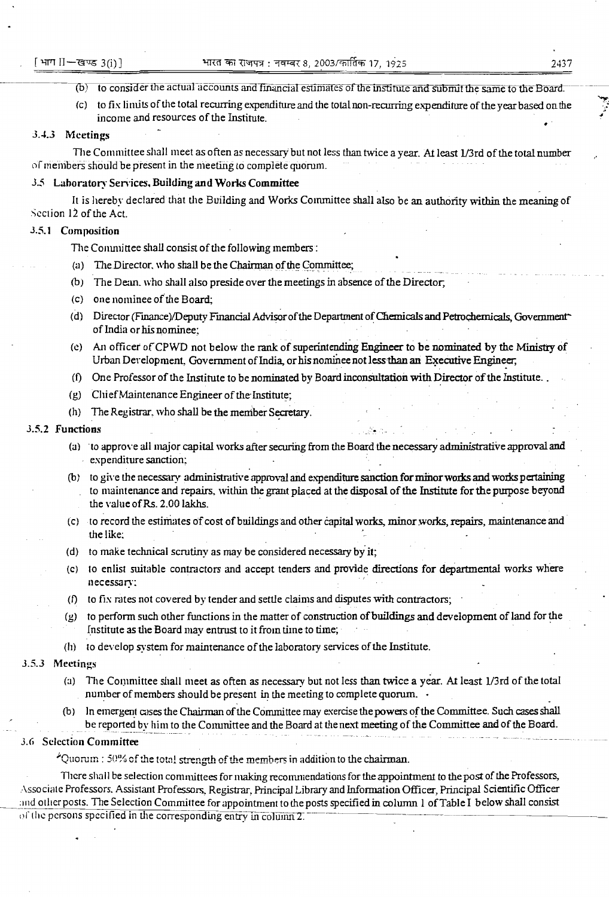- (b) to consider the actual accounts and financial estimates of the institute and submit the same to the Board.
- (c) to fix limits of the total recurring expenditure and the total non-recurring expenditure of the year based on the income and resources of the Institute.

### 3.4.3 Meetings

The Committee shall meet as often as necessary but not less than twice a year. At least 1/3rd of the total number of members should be present in the meeting to complete quorum.

## 3.5 Laboratory Services, Building and Works Committee

It is hereby declared that the Building and Works Committee shall also be an authority within the meaning of Section 12 of the Act.

## 3.5.1 Composition

The Committee shall consist of the following members:

- (a) The Director, who shall be the Chairman of the Committee:
- (b) The Dean, who shall also preside over the meetings in absence of the Director.
- $(c)$  one nominee of the Board:
- (d) Director (Finance)/Deputy Financial Advisor of the Department of Chemicals and Petrochemicals, Government of India or his nominee;
- (e) An officer of CPWD not below the rank of superintending Engineer to be nominated by the Ministry of Urban Development, Government of India, or his nominee not less than an Executive Engineer,
- (f) One Professor of the Institute to be nominated by Board inconsultation with Director of the Institute.
- (g) Chief Maintenance Engineer of the Institute;
- (h) The Registrar, who shall be the member Secretary.

### 3.5.2 Functions

- (a) to approve all major capital works after securing from the Board the necessary administrative approval and expenditure sanction:
- (b) to give the necessary administrative approval and expenditure sanction for minor works and works pertaining to maintenance and repairs, within the grant placed at the disposal of the Institute for the purpose beyond the value of Rs. 2.00 lakhs.
- (c) to record the estimates of cost of buildings and other capital works, minor works, repairs, maintenance and the like;
- (d) to make technical scrutiny as may be considered necessary by it;
- (c) to enlist suitable contractors and accept tenders and provide directions for departmental works where necessary;
- (f) to fix rates not covered by tender and settle claims and disputes with contractors;
- to perform such other functions in the matter of construction of buildings and development of land for the (ប) Institute as the Board may entrust to it from time to time;
- (h) to develop system for maintenance of the laboratory services of the Institute.

### 3.5.3 Meetings

- (a) The Committee shall meet as often as necessary but not less than twice a year. At least 1/3rd of the total number of members should be present in the meeting to complete quorum.
- In emergent cases the Chairman of the Committee may exercise the powers of the Committee. Such cases shall be reported by him to the Committee and the Board at the next meeting of the Committee and of the Board.

### 3.6 Selection Committee

\*Quorum : 50% of the total strength of the members in addition to the chairman.

There shall be selection committees for making recommendations for the appointment to the post of the Professors, Associate Professors, Assistant Professors, Registrar, Principal Library and Information Officer, Principal Scientific Officer and other posts. The Selection Committee for appointment to the posts specified in column 1 of Table I below shall consist of the persons specified in the corresponding entry in column 2.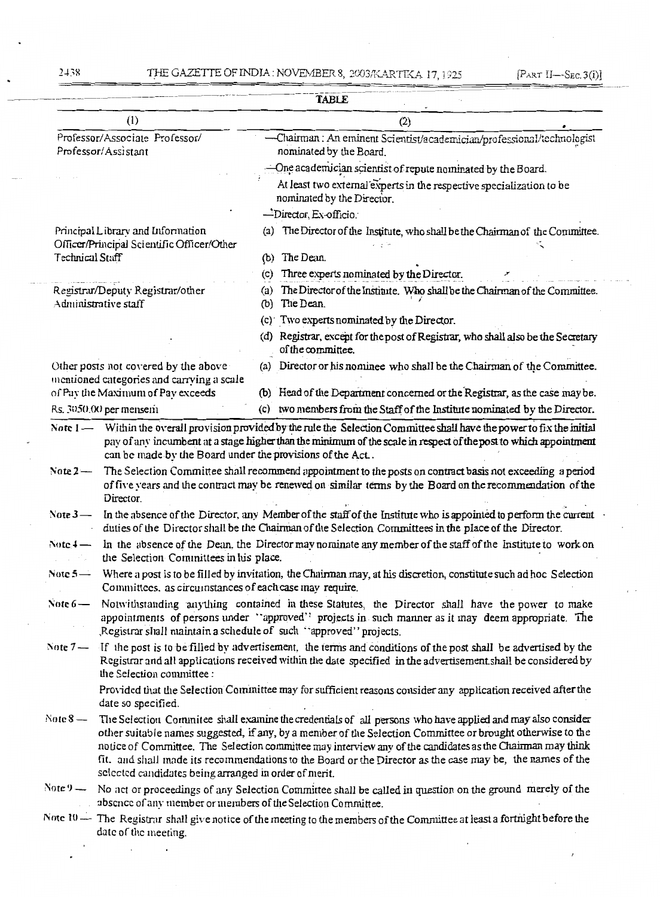$\overline{a}$ 

 $\cdot$ 

|                                                                                                                                                                                                                                                                        |                                                                                                                                                                                                                                                                                                                                                                                                                                                                                                              |                                                                                                   | <b>TABLE</b>                                                                                                                                                                                                                          |  |
|------------------------------------------------------------------------------------------------------------------------------------------------------------------------------------------------------------------------------------------------------------------------|--------------------------------------------------------------------------------------------------------------------------------------------------------------------------------------------------------------------------------------------------------------------------------------------------------------------------------------------------------------------------------------------------------------------------------------------------------------------------------------------------------------|---------------------------------------------------------------------------------------------------|---------------------------------------------------------------------------------------------------------------------------------------------------------------------------------------------------------------------------------------|--|
|                                                                                                                                                                                                                                                                        | (1)                                                                                                                                                                                                                                                                                                                                                                                                                                                                                                          |                                                                                                   | (2)                                                                                                                                                                                                                                   |  |
| Professor/Associate Professor/<br>Professor/Assistant                                                                                                                                                                                                                  |                                                                                                                                                                                                                                                                                                                                                                                                                                                                                                              | -Chairman : An eminent Scientist/academician/professional/technologist<br>nominated by the Board. |                                                                                                                                                                                                                                       |  |
|                                                                                                                                                                                                                                                                        |                                                                                                                                                                                                                                                                                                                                                                                                                                                                                                              |                                                                                                   | -One academician scientist of repute nominated by the Board.                                                                                                                                                                          |  |
|                                                                                                                                                                                                                                                                        |                                                                                                                                                                                                                                                                                                                                                                                                                                                                                                              |                                                                                                   | At least two external experts in the respective specialization to be<br>nominated by the Director.                                                                                                                                    |  |
|                                                                                                                                                                                                                                                                        |                                                                                                                                                                                                                                                                                                                                                                                                                                                                                                              |                                                                                                   | -Director, Ex-officio.                                                                                                                                                                                                                |  |
|                                                                                                                                                                                                                                                                        | Principal Library and Information<br>Officer/Principal Scientific Officer/Other                                                                                                                                                                                                                                                                                                                                                                                                                              |                                                                                                   | (a) The Director of the Institute, who shall be the Chairman of the Committee.                                                                                                                                                        |  |
| <b>Technical Staff</b>                                                                                                                                                                                                                                                 |                                                                                                                                                                                                                                                                                                                                                                                                                                                                                                              |                                                                                                   | (b) The Dean.                                                                                                                                                                                                                         |  |
|                                                                                                                                                                                                                                                                        |                                                                                                                                                                                                                                                                                                                                                                                                                                                                                                              | (c)                                                                                               | Three experts nominated by the Director.                                                                                                                                                                                              |  |
|                                                                                                                                                                                                                                                                        | Registrar/Deputy Registrar/other<br>Administrative staff                                                                                                                                                                                                                                                                                                                                                                                                                                                     | (a)                                                                                               | The Director of the Institute. Who shall be the Chairman of the Committee.<br>(b) The Dean.                                                                                                                                           |  |
|                                                                                                                                                                                                                                                                        |                                                                                                                                                                                                                                                                                                                                                                                                                                                                                                              |                                                                                                   | (c) Two experts nominated by the Director.                                                                                                                                                                                            |  |
|                                                                                                                                                                                                                                                                        |                                                                                                                                                                                                                                                                                                                                                                                                                                                                                                              |                                                                                                   | (d) Registrar, except for the post of Registrar, who shall also be the Secretary<br>of the committee.                                                                                                                                 |  |
|                                                                                                                                                                                                                                                                        | Other posts not covered by the above<br>mentioned categories and carrying a scale                                                                                                                                                                                                                                                                                                                                                                                                                            |                                                                                                   | (a) Director or his nominee who shall be the Chairman of the Committee.                                                                                                                                                               |  |
|                                                                                                                                                                                                                                                                        | of Pay the Maximum of Pay exceeds                                                                                                                                                                                                                                                                                                                                                                                                                                                                            |                                                                                                   | (b) Head of the Department concerned or the Registrar, as the case may be.                                                                                                                                                            |  |
|                                                                                                                                                                                                                                                                        | Rs. 3050.00 per mensem                                                                                                                                                                                                                                                                                                                                                                                                                                                                                       | (c)                                                                                               | two members from the Staff of the Institute nominated by the Director.                                                                                                                                                                |  |
| Note $1-$                                                                                                                                                                                                                                                              | can be made by the Board under the provisions of the Act.                                                                                                                                                                                                                                                                                                                                                                                                                                                    |                                                                                                   | Within the overall provision provided by the rule the Selection Committee shall have the power to fix the initial<br>pay of any incumbent at a stage higher than the minimum of the scale in respect of the post to which appointment |  |
| Note $2-$                                                                                                                                                                                                                                                              | Director.                                                                                                                                                                                                                                                                                                                                                                                                                                                                                                    |                                                                                                   | The Selection Committee shall recommend appointment to the posts on contract basis not exceeding a period<br>of five years and the contract may be renewed on similar terms by the Board on the recommendation of the                 |  |
| Note $3-$                                                                                                                                                                                                                                                              |                                                                                                                                                                                                                                                                                                                                                                                                                                                                                                              |                                                                                                   | In the absence of the Director, any Member of the staff of the Institute who is appointed to perform the current<br>duties of the Director shall be the Chairman of the Selection Committees in the place of the Director.            |  |
| Note $4-$                                                                                                                                                                                                                                                              | the Selection Committees in his place.                                                                                                                                                                                                                                                                                                                                                                                                                                                                       |                                                                                                   | In the absence of the Dean, the Director may nominate any member of the staff of the Institute to work on                                                                                                                             |  |
| Note $5-$                                                                                                                                                                                                                                                              | Committees, as circumstances of each case may require.                                                                                                                                                                                                                                                                                                                                                                                                                                                       |                                                                                                   | Where a post is to be filled by invitation, the Chairman may, at his discretion, constitute such ad hoc Selection                                                                                                                     |  |
|                                                                                                                                                                                                                                                                        |                                                                                                                                                                                                                                                                                                                                                                                                                                                                                                              |                                                                                                   | Note 6— Notwithstanding anything contained in these Statutes, the Director shall have the power to make<br>appointments of persons under "approved" projects in such manner as it may deem appropriate. The                           |  |
|                                                                                                                                                                                                                                                                        | Registrar shall maintain a schedule of such "approved" projects.                                                                                                                                                                                                                                                                                                                                                                                                                                             |                                                                                                   |                                                                                                                                                                                                                                       |  |
| Note $7 -$ If the post is to be filled by advertisement, the terms and conditions of the post shall be advertised by the<br>Registrar and all applications received within the date specified in the advertisement shall be considered by<br>the Selection committee : |                                                                                                                                                                                                                                                                                                                                                                                                                                                                                                              |                                                                                                   |                                                                                                                                                                                                                                       |  |
|                                                                                                                                                                                                                                                                        | date so specified.                                                                                                                                                                                                                                                                                                                                                                                                                                                                                           |                                                                                                   | Provided that the Selection Committee may for sufficient reasons consider any application received after the                                                                                                                          |  |
| Note $8-$                                                                                                                                                                                                                                                              | The Selection Commitee shall examine the credentials of all persons who have applied and may also consider<br>other suitable names suggested, if any, by a member of the Selection Committee or brought otherwise to the<br>notice of Committee. The Selection committee may interview any of the candidates as the Chairman may think<br>fit. and shall made its recommendations to the Board or the Director as the case may be, the names of the<br>selected candidates being arranged in order of merit. |                                                                                                   |                                                                                                                                                                                                                                       |  |
|                                                                                                                                                                                                                                                                        | Note 9 — No act or proceedings of any Selection Committee shall be called in question on the ground merely of the<br>absence of any member or members of the Selection Committee.                                                                                                                                                                                                                                                                                                                            |                                                                                                   |                                                                                                                                                                                                                                       |  |
|                                                                                                                                                                                                                                                                        | date of the meeting.                                                                                                                                                                                                                                                                                                                                                                                                                                                                                         |                                                                                                   | Note $10$ — The Registrar shall give notice of the meeting to the members of the Committee at least a fortnight before the                                                                                                            |  |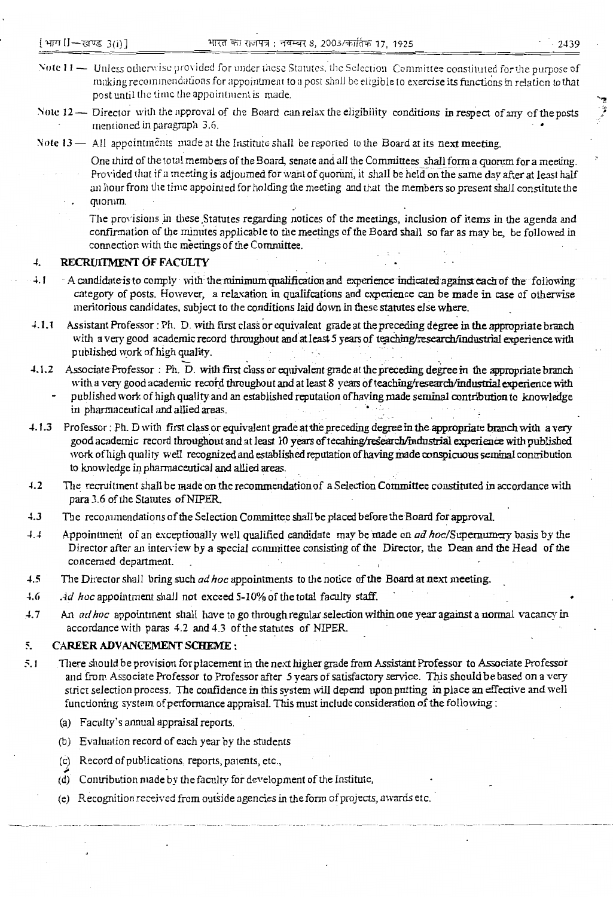- Note 11 Unless otherwise provided for under these Statutes, the Selection Committee constituted for the purpose of making recommendations for appointment to a post shall be eligible to exercise its functions in relation to that post until the time the appointment is made.
- Note 12 Director with the approval of the Board can relax the eligibility conditions in respect of any of the posts mentioned in paragraph 3.6.
- Note  $13$   $-$  All appointments made at the Institute shall be reported to the Board at its next meeting.
	- One third of the total members of the Board, senate and all the Committees shall form a quorum for a meeting. Provided that if a meeting is adjourned for want of quorum, it shall be held on the same day after at least half an hour from the time appointed for holding the meeting and that the members so present shall constitute the quorum.
		- The provisions in these Statutes regarding notices of the meetings, inclusion of items in the agenda and confirmation of the minutes applicable to the meetings of the Board shall so far as may be, be followed in connection with the meetings of the Committee.

### $\overline{4}$ . RECRUITMENT OF FACULTY

- $4.1$ A candidate is to comply with the minimum qualification and experience indicated against each of the following category of posts. However, a relaxation in qualifcations and experience can be made in case of otherwise meritorious candidates, subject to the conditions laid down in these statutes else where.
- Assistant Professor: Ph. D. with first class or equivalent grade at the preceding degree in the appropriate branch  $4.1.1$ with a very good academic record throughout and at least 5 years of teaching/research/industrial experience with published work of high quality.
- 4.1.2 Associate Professor: Ph. D. with first class or equivalent grade at the preceding degree in the appropriate branch with a very good academic record throughout and at least 8 years of teaching/research/industrial experience with published work of high quality and an established reputation of having made seminal contribution to knowledge in pharmaceutical and allied areas.
- 4.1.3 Professor: Ph. D with first class or equivalent grade at the preceding degree in the appropriate branch with a very good academic record throughout and at least 10 years of tecahing/research/industrial experience with published work of high quality well recognized and established reputation of having made conspicuous seminal contribution to knowledge in pharmaceutical and allied areas.
- $4.2$ The recruitment shall be made on the recommendation of a Selection Committee constituted in accordance with para 3.6 of the Statutes of NIPER.
- $4.3$ The recommendations of the Selection Committee shall be placed before the Board for approval.
- $4.4$ Appointment of an exceptionally well qualified candidate may be made on *ad hoc*/Supernumery basis by the Director after an interview by a special committee consisting of the Director, the Dean and the Head of the concerned department.
- $4.5$ The Director shall bring such ad hoc appointments to the notice of the Board at next meeting.
- $4.6$ Ad hoc appointment shall not exceed 5-10% of the total faculty staff.
- $4.7$ An ad hoc appointment shall have to go through regular selection within one year against a normal vacancy in accordance with paras 4.2 and 4.3 of the statutes of NIPER.

### **CAREER ADVANCEMENT SCHEME:** 5.

- $5.1$ There should be provision for placement in the next higher grade from Assistant Professor to Associate Professor and from Associate Professor to Professor after 5 years of satisfactory service. This should be based on a very strict selection process. The confidence in this system will depend upon putting in place an effective and well functioning system of performance appraisal. This must include consideration of the following:
	- (a) Faculty's annual appraisal reports.
	- (b) Evaluation record of each year by the students
	- (c) Record of publications, reports, patents, etc.,
	- (d) Contribution made by the faculty for development of the Institute,
	- (e) Recognition received from outside agencies in the form of projects, awards etc.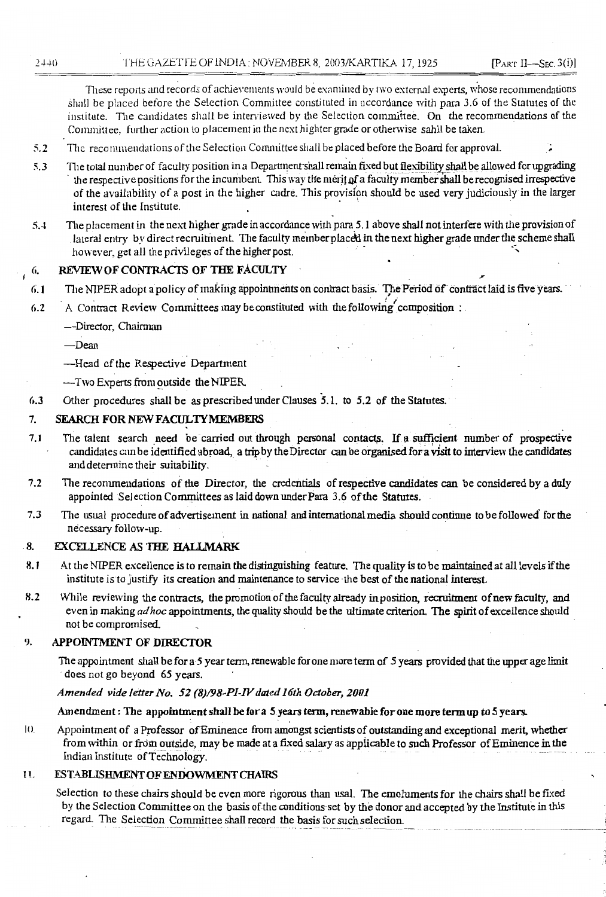These reports and records of achievements would be examined by two external experts, whose recommendations shall be placed before the Selection Committee constituted in accordance with para 3.6 of the Statutes of the institute. The candidates shall be interviewed by the Selection committee. On the recommendations of the Committee, further action to placement in the next highter grade or otherwise sahll be taken.

- The recommendations of the Selection Committee shall be placed before the Board for approval.  $5.2$
- The total number of faculty position in a Department shall remain fixed but flexibility shall be allowed for upgrading  $5.3$ the respective positions for the incumbent. This way the merit of a faculty member shall be recognised irrespective of the availability of a post in the higher cadre. This provision should be used very judiciously in the larger interest of the Institute.
- The placement in the next higher grade in accordance with para 5.1 above shall not interfere with the provision of  $5.4$ lateral entry by direct recruitment. The faculty member placed in the next higher grade under the scheme shall however, get all the privileges of the higher post.

### REVIEW OF CONTRACTS OF THE FACULTY 6.

- The NIPER adopt a policy of making appointments on contract basis. The Period of contract laid is five years.  $6.1$
- A Contract Review Committees may be constituted with the following composition:  $6.2$ 
	- -Director, Chairman
	- $-$ Dean
	- -Head of the Respective Department
	- -Two Experts from outside the NIPER.
- Other procedures shall be as prescribed under Clauses 5.1. to 5.2 of the Statutes.  $6.3$

#### 7. SEARCH FOR NEW FACULTY MEMBERS

- $7.1$ The talent search need be carried out through personal contacts. If a sufficient number of prospective candidates can be identified abroad, a trip by the Director can be organised for a visit to interview the candidates and determine their suitability.
- $7.2$ The recommendations of the Director, the credentials of respective candidates can be considered by a duly appointed Selection Committees as laid down under Para 3.6 of the Statutes.
- $7.3$ The usual procedure of advertisement in national and international media should continue to be followed for the necessary follow-up.

### 8. **EXCELLENCE AS THE HALLMARK**

- $8.1$ At the NIPER excellence is to remain the distinguishing feature. The quality is to be maintained at all levels if the institute is to justify its creation and maintenance to service the best of the national interest.
- $8.2$ While reviewing the contracts, the promotion of the faculty already in position, recruitment of new faculty, and even in making ad hoc appointments, the quality should be the ultimate criterion. The spirit of excellence should not be compromised.

#### 9. APPOINTMENT OF DIRECTOR

The appointment shall be for a 5 year term, renewable for one more term of 5 years provided that the upper age limit does not go beyond 65 years.

### Amended vide letter No. 52 (8)/98-PI-IV dated 16th October, 2001

### Amendment: The appointment shall be for a 5 years term, renewable for one more term up to 5 years.

 $|()$ Appointment of a Professor of Eminence from amongst scientists of outstanding and exceptional merit, whether from within or from outside, may be made at a fixed salary as applicable to such Professor of Eminence in the Indian Institute of Technology.

### **ESTABLISHMENT OF ENDOWMENT CHAIRS** 11.

Selection to these chairs should be even more rigorous than usal. The emoluments for the chairs shall be fixed by the Selection Committee on the basis of the conditions set by the donor and accepted by the Institute in this regard. The Selection Committee shall record the basis for such selection.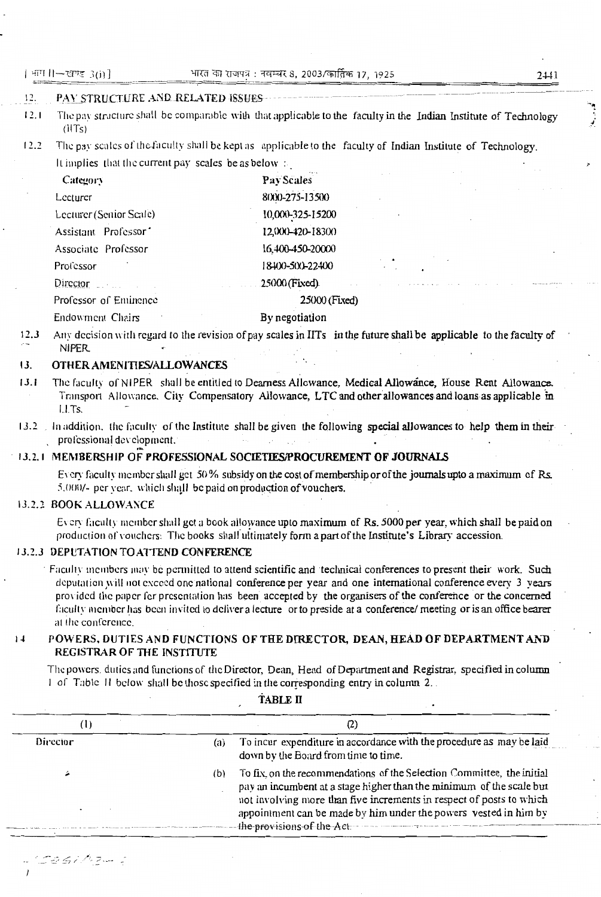### $12.$ PAY STRUCTURE AND RELATED ISSUES-

- The pay structure shall be comparable with that applicable to the faculty in the Indian Institute of Technology  $12.1$  $(HTs)$
- $12.2$ The pay scales of the faculty shall be kept as applicable to the faculty of Indian Institute of Technology. It implies that the current pay scales be as below  $\pm$

| Category                         | Pay Scales       |
|----------------------------------|------------------|
| Lecturer                         | 8000-275-13500   |
| Lecturer (Senior Scale)          | 10,000-325-15200 |
| Assistant Professor <sup>*</sup> | 12,000-420-18300 |
| Associate Professor              | 16,400-450-20000 |
| Professor                        | 18400-500-22400  |
| Director <b>Director</b>         | 25000 (Fixed)    |
| Professor of Eminence            | 25000 (Fixed)    |
| Endowment Chairs                 | By negotiation   |

Any decision with regard to the revision of pay scales in IITs in the future shall be applicable to the faculty of  $12.3$ **NIPER** 

### $13.$ OTHER AMENITIES/ALLOWANCES

- $13.1$ The faculty of NIPER shall be entitled to Dearness Allowance, Medical Allowance, House Rent Allowance. Transport Allowance, City Compensatory Allowance, LTC and other allowances and loans as applicable in  $1.1$ Ts.
- 13.2 In addition, the faculty of the Institute shall be given the following special allowances to help them in their professional development.

## 13.2.1 MEMBERSHIP OF PROFESSIONAL SOCIETIES/PROCUREMENT OF JOURNALS

Every faculty member shall get 50% subsidy on the cost of membership or of the journals upto a maximum of Rs. 5.000/- per vear, which shall be paid on production of vouchers.

## 13.2.2 BOOK ALLOWANCE

ta shi Aizili z

Every faculty member shall get a book allowance upto maximum of Rs. 5000 per year, which shall be paid on production of vouchers. The books shall ultimately form a part of the Institute's Library accession.

## 13.2.3 DEPUTATION TO ATTEND CONFERENCE

Faculty members may be permitted to attend scientific and 'technical conferences to present their work. Such deputation will not exceed one national conference per year and one international conference every 3 years provided the paper for presentation has been accepted by the organisers of the conference or the concerned faculty member has been invited to deliver a lecture or to preside at a conference/ meeting or is an office bearer at the conference.

### POWERS, DUTIES AND FUNCTIONS OF THE DIRECTOR, DEAN, HEAD OF DEPARTMENT AND  $1\,\text{J}$ REGISTRAR OF THE INSTITUTE

The powers, duties and functions of the Director, Dean, Head of Department and Registrar, specified in column 1 of Table II below shall be those specified in the corresponding entry in column 2.

| Director | (a) | To incur expenditure in accordance with the procedure as may be laid<br>down by the Board from time to time.                                                                                                                                                                                                             |
|----------|-----|--------------------------------------------------------------------------------------------------------------------------------------------------------------------------------------------------------------------------------------------------------------------------------------------------------------------------|
|          | (b) | To fix, on the recommendations of the Selection Committee, the initial<br>pay an incumbent at a stage higher than the minimum of the scale but<br>not involving more than five increments in respect of posts to which<br>appointment can be made by him under the powers vested in him by<br>the provisions of the Act. |

TABLE II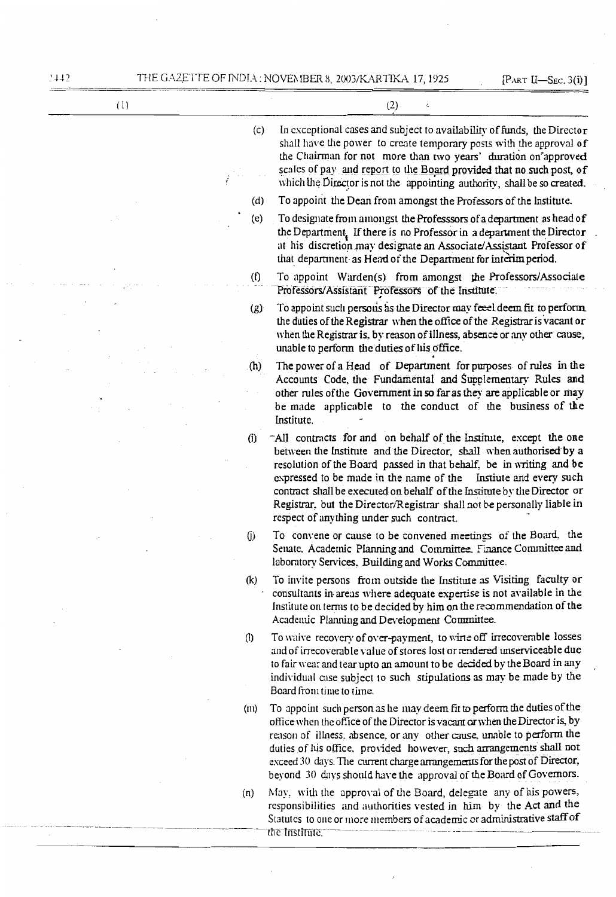| (1) |                   | (2)<br>÷,                                                                                                                                                                                                                                                                                                                                                                                                                                                                           |
|-----|-------------------|-------------------------------------------------------------------------------------------------------------------------------------------------------------------------------------------------------------------------------------------------------------------------------------------------------------------------------------------------------------------------------------------------------------------------------------------------------------------------------------|
|     | (c)               | In exceptional cases and subject to availability of funds, the Director<br>shall have the power to create temporary posts with the approval of<br>the Chairman for not more than two years' duration on'approved<br>scales of pay and report to the Board provided that no such post, of<br>which the Director is not the appointing authority, shall be so created.                                                                                                                |
|     | (d)               | To appoint the Dean from amongst the Professors of the Institute.                                                                                                                                                                                                                                                                                                                                                                                                                   |
|     | (e)               | To designate from amongst the Professsors of a department as head of<br>the Department. If there is no Professor in a department the Director<br>at his discretion may designate an Associate/Assistant Professor of<br>that department as Head of the Department for interim period.                                                                                                                                                                                               |
|     | (f)               | To appoint Warden(s) from amongst the Professors/Associate<br>Professors/Assistant Professors of the Institute.                                                                                                                                                                                                                                                                                                                                                                     |
|     | (g)               | To appoint such persons as the Director may feeel deem fit to perform<br>the duties of the Registrar when the office of the Registrar is vacant or<br>when the Registrar is, by reason of illness, absence or any other cause,<br>unable to perform the duties of his office.                                                                                                                                                                                                       |
|     | (h)               | The power of a Head of Department for purposes of rules in the<br>Accounts Code, the Fundamental and Supplementary Rules and<br>other rules of the Government in so far as they are applicable or may<br>be made applicable to the conduct of the business of the<br>Institute.                                                                                                                                                                                                     |
|     | (i)               | All contracts for and on behalf of the Institute, except the one<br>between the Institute and the Director, shall when authorised by a<br>resolution of the Board passed in that behalf, be in writing and be<br>expressed to be made in the name of the Institue and every such<br>contract shall be executed on behalf of the Institute by the Director or<br>Registrar, but the Director/Registrar shall not be personally liable in<br>respect of anything under such contract. |
|     | (j)               | To convene or cause to be convened meetings of the Board, the<br>Senate. Academic Planning and Committee. Finance Committee and<br>laboratory Services, Building and Works Committee.                                                                                                                                                                                                                                                                                               |
|     | (k)               | To invite persons from outside the Institute as Visiting faculty or<br>consultants in areas where adequate expertise is not available in the<br>Institute on terms to be decided by him on the recommendation of the<br>Academic Planning and Development Committee.                                                                                                                                                                                                                |
|     | $\left( 0\right)$ | To waive recovery of over-payment, to wirte off irrecoverable losses<br>and of irrecoverable value of stores lost or rendered unserviceable due<br>to fair wear and tear upto an amount to be decided by the Board in any<br>individual case subject to such stipulations as may be made by the<br>Board from time to time.                                                                                                                                                         |
|     | (n)               | To appoint such person as he may deem fit to perform the duties of the<br>office when the office of the Director is vacant or when the Director is, by<br>reason of illness, absence, or any other cause, unable to perform the<br>duties of his office, provided however, such arrangements shall not<br>exceed 30 days. The current charge arrangements for the post of Director,<br>beyond 30 days should have the approval of the Board of Governors.                           |
|     | (n)               | May, with the approval of the Board, delegate any of his powers,<br>responsibilities and authorities vested in him by the Act and the<br>Statutes to one or more members of academic or administrative staff of<br>the Institute.                                                                                                                                                                                                                                                   |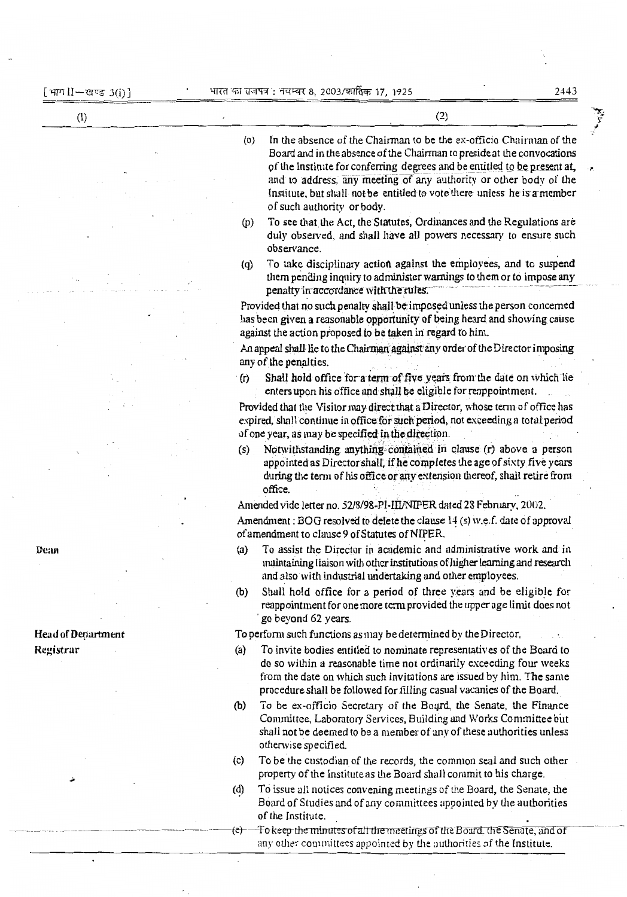$\cdot$ 

en 1999.<br>K

| (1)                       | (2)                                                                                                                                                                                                                                                                                                                                                                                                               |
|---------------------------|-------------------------------------------------------------------------------------------------------------------------------------------------------------------------------------------------------------------------------------------------------------------------------------------------------------------------------------------------------------------------------------------------------------------|
|                           | In the absence of the Chairman to be the ex-officio Chairman of the<br>(0)<br>Board and in the absence of the Chairman to preside at the convocations<br>of the Institute for conferring degrees and be entitled to be present at,<br>and to address, any meeting of any authority or other body of the<br>Institute, but shall not be entitled to vote there unless he is a member<br>of such authority or body. |
|                           | To see that the Act, the Statutes, Ordinances and the Regulations are<br>(p)<br>duly observed, and shall have all powers necessary to ensure such<br>observance.                                                                                                                                                                                                                                                  |
|                           | To take disciplinary action against the employees, and to suspend<br>$\left( q\right)$<br>them pending inquiry to administer warnings to them or to impose any<br>penalty in accordance with the rules.                                                                                                                                                                                                           |
|                           | Provided that no such penalty shall be imposed unless the person concerned<br>has been given a reasonable opportunity of being heard and showing cause<br>against the action proposed to be taken in regard to him.                                                                                                                                                                                               |
|                           | An appeal shall lie to the Chairman against any order of the Director imposing<br>any of the penalties.                                                                                                                                                                                                                                                                                                           |
|                           | Shall hold office for a term of five years from the date on which he<br>(r)<br>enters upon his office and shall be eligible for reappointment.                                                                                                                                                                                                                                                                    |
|                           | Provided that the Visitor may direct that a Director, whose term of office has<br>expired, shall continue in office for such period, not exceeding a total period<br>of one year, as may be specified in the direction.                                                                                                                                                                                           |
|                           | Notwithstanding anything contained in clause (r) above a person<br>(s)<br>appointed as Director shall, if he completes the age of sixty five years<br>during the term of his office or any extension thereof, shall retire from<br>office.                                                                                                                                                                        |
|                           | Amended vide letter no. 52/8/98-PI-III/NIPER dated 28 February, 2002.                                                                                                                                                                                                                                                                                                                                             |
|                           | Amendment : BOG resolved to delete the clause 14 (s) w.e.f. date of approval<br>of amendment to clause 9 of Statutes of NIPER.                                                                                                                                                                                                                                                                                    |
| Dean                      | To assist the Director in academic and administrative work and in<br>$\left( a\right)$<br>maintaining liaison with other institutions of higher learning and research<br>and also with industrial undertaking and other employees.                                                                                                                                                                                |
|                           | Shall hold office for a period of three years and be eligible for<br>(b)<br>reappointment for one more term provided the upper age limit does not<br>go beyond 62 years.                                                                                                                                                                                                                                          |
| <b>Head of Department</b> | To perform such functions as may be determined by the Director.                                                                                                                                                                                                                                                                                                                                                   |
| Registrar                 | To invite bodies entitled to nominate representatives of the Board to<br>(a)<br>do so within a reasonable time not ordinarily exceeding four weeks<br>from the date on which such invitations are issued by him. The same<br>procedure shall be followed for filling casual vacanies of the Board.                                                                                                                |
|                           | To be ex-officio Secretary of the Board, the Senate, the Finance<br>(b)<br>Committee, Laboratory Services, Building and Works Committee but<br>shall not be deemed to be a member of any of these authorities unless<br>otherwise specified.                                                                                                                                                                      |
|                           | To be the custodian of the records, the common seal and such other<br>(c)<br>property of the Institute as the Board shall commit to his charge.                                                                                                                                                                                                                                                                   |
|                           | To issue all notices convening meetings of the Board, the Senate, the<br>(d)<br>Board of Studies and of any committees appointed by the authorities<br>of the Institute.                                                                                                                                                                                                                                          |
|                           | To keep the minutes of all the meetings of the Board, the Senate, and of<br>(e)<br>any other committees appointed by the authorities of the Institute.                                                                                                                                                                                                                                                            |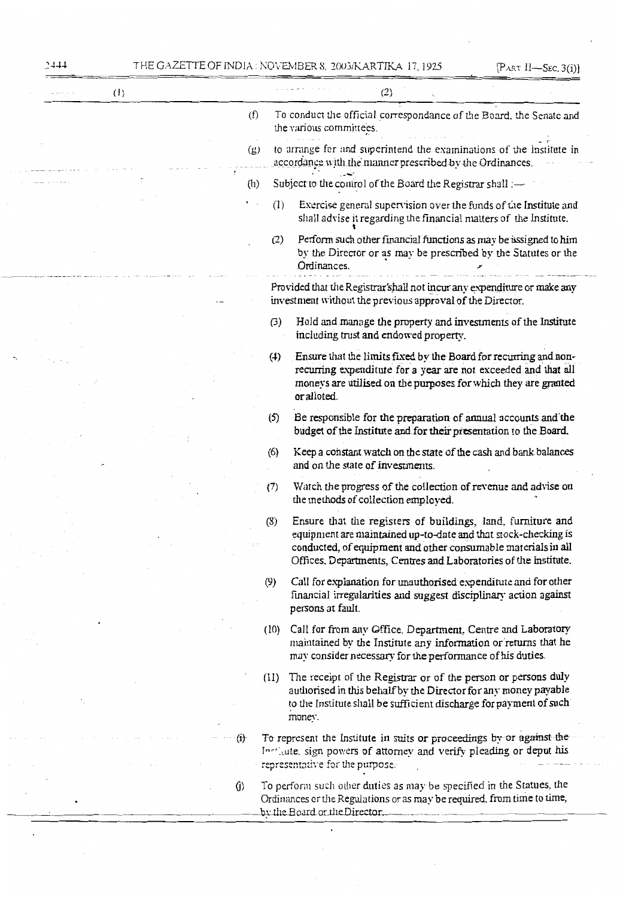|  | (1) |               |                                |      | (2)                                                                                                                                                                                                                                                                |
|--|-----|---------------|--------------------------------|------|--------------------------------------------------------------------------------------------------------------------------------------------------------------------------------------------------------------------------------------------------------------------|
|  |     |               | (f)                            |      | To conduct the official correspondance of the Board, the Senate and<br>the various committees.                                                                                                                                                                     |
|  |     |               | $\left( \underline{p} \right)$ |      | to arrange for and superintend the examinations of the Institute in<br>accordance with the manner prescribed by the Ordinances.                                                                                                                                    |
|  |     |               | (h)                            |      | Subject to the control of the Board the Registrar shall :-                                                                                                                                                                                                         |
|  |     |               |                                | (1)  | Exercise general supervision over the funds of the Institute and<br>shall advise it regarding the financial matters of the Institute.                                                                                                                              |
|  |     |               |                                | (2)  | Perform such other financial functions as may be assigned to him<br>by the Director or as may be prescribed by the Statutes or the<br>Ordinances.                                                                                                                  |
|  |     |               |                                |      | Provided that the Registrar'shall not incur any expenditure or make any<br>investment without the previous approval of the Director.                                                                                                                               |
|  |     |               |                                | (3)  | Hold and manage the property and investments of the Institute<br>including trust and endowed property.                                                                                                                                                             |
|  |     |               |                                | (4)  | Ensure that the limits fixed by the Board for recurring and non-<br>recurring expenditute for a year are not exceeded and that all<br>moneys are utilised on the purposes for which they are granted<br>or alloted.                                                |
|  |     |               |                                | (5)  | Be responsible for the preparation of annual accounts and the<br>budget of the Institute and for their presentation to the Board.                                                                                                                                  |
|  |     |               |                                | (6)  | Keep a constant watch on the state of the cash and bank balances<br>and on the state of investments.                                                                                                                                                               |
|  |     |               |                                | (7)  | Watch the progress of the collection of revenue and advise on<br>the methods of collection employed.                                                                                                                                                               |
|  |     |               |                                | (8)  | Ensure that the registers of buildings, land, furniture and<br>equipment are maintained up-to-date and that stock-checking is<br>conducted, of equipment and other consumable materials in all<br>Offices. Departments, Centres and Laboratories of the Institute. |
|  |     |               |                                | (9)  | Call for explanation for unauthorised expenditute and for other<br>financial irregularities and suggest disciplinary action against<br>persons at fault.                                                                                                           |
|  |     |               |                                | (10) | Call for from any Office, Department, Centre and Laboratory<br>maintained by the Institute any information or returns that he<br>may consider necessary for the performance of his duties.                                                                         |
|  |     |               |                                | (11) | The receipt of the Registrar or of the person or persons duly<br>authorised in this behalf by the Director for any money payable<br>to the Institute shall be sufficient discharge for payment of such<br>money.                                                   |
|  |     | $\bigoplus$   |                                |      | To represent the Institute in suits or proceedings by or against the<br>Include sign powers of attorney and verify pleading or deput his<br>representative for the purpose.                                                                                        |
|  |     | $\mathcal{L}$ |                                |      | To perform such other duties as may be specified in the Statues, the<br>Ordinances or the Regulations or as may be required, from time to time,<br>by the Board or the Director.                                                                                   |

 $\ddot{\phantom{0}}$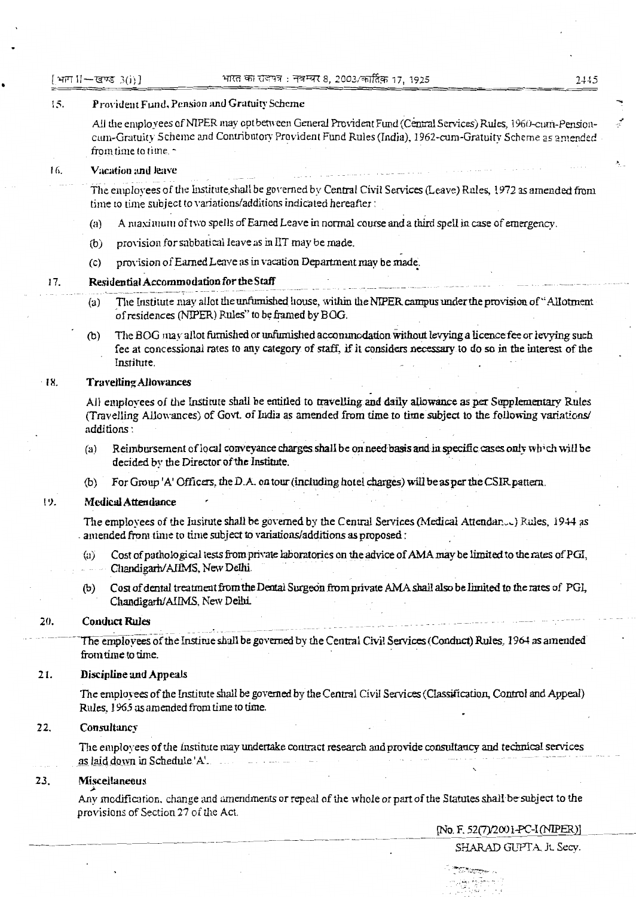[भाग II-खण्ड 3(i)]

### $15.$ Provident Fund, Pension and Gratuity Scheme

All the employees of NIPER may opt between General Provident Fund (Central Services) Rules, 1960-cum-Pensioncum-Gratuity Scheme and Contributory Provident Fund Rules (India), 1962-cum-Gratuity Scheme as amended from time to time.

#### Vacation and leave 16.

The employees of the Institute shall be governed by Central Civil Services (Leave) Rules, 1972 as amended from time to time subject to variations/additions indicated hereafter:

- A maximum of two spells of Earned Leave in normal course and a third spell in case of emergency.  $(a)$
- $(b)$ provision for sabbatical leave as in IIT may be made.
- provision of Earned Leave as in vacation Department may be made.  $(c)$

### Residential Accommodation for the Staff 17.

- The Institute may allot the unfurnished house, within the NIPER campus under the provision of "Allotment"  $(a)$ of residences (NIPER) Rules" to be framed by BOG.
- The BOG may allot furnished or unfurnished accommodation without levying a licence fee or levying such  $(b)$ fee at concessional rates to any category of staff, if it considers necessary to do so in the interest of the Institute.

#### **Travelling Allowances** 18.

All employees of the Institute shall be entitled to travelling and daily allowance as per Supplementary Rules (Travelling Allowances) of Govt. of India as amended from time to time subject to the following variations/ additions:

- Reimbursement of local conveyance charges shall be on need basis and in specific cases only which will be  $(a)$ decided by the Director of the Institute.
- For Group 'A' Officers, the D.A. on tour (including hotel charges) will be as per the CSIR pattern.  $(b)$

#### 19. **Medical Attendance**

The employees of the Insitute shall be governed by the Central Services (Medical Attendan...) Rules, 1944 as amended from time to time subject to variations/additions as proposed:

- Cost of pathological tests from private laboratories on the advice of AMA may be limited to the rates of PGI,  $(a)$ Chandigarh/AIIMS, New Delhi.
- Cost of dental treatment from the Dental Surgeon from private AMA shall also be limited to the rates of PGI,  $(b)$ Chandigarh/AIIMS, New Delhi.

#### $20.$ **Conduct Rules**

The employees of the Institue shall be governed by the Central Civil Services (Conduct) Rules, 1964 as amended from time to time.

#### 21. **Discipline and Appeals**

The employees of the Institute shall be governed by the Central Civil Services (Classification, Control and Appeal) Rules, 1965 as amended from time to time.

#### 22. Consultancy

The employees of the institute may undertake contract research and provide consultancy and technical services as laid down in Schedule 'A'.

#### 23. Miscellaneous

Any modification, change and amendments or repeal of the whole or part of the Statutes shall be subject to the provisions of Section 27 of the Act.

[No. F. 52(7)/2001-PC-I (NIPER)]

عبريجين أباره بالمواردة والمهار 2445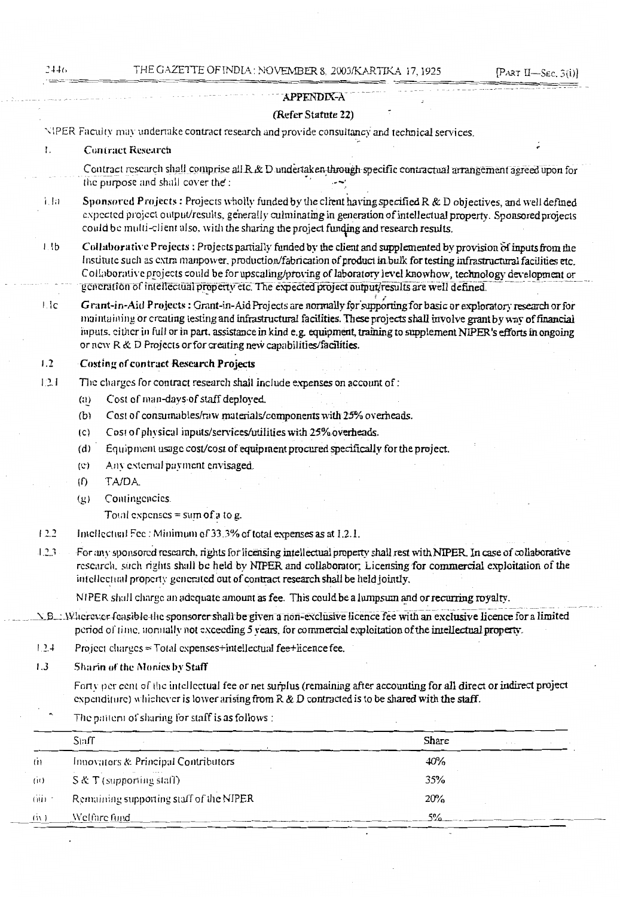### **APPENDIX-A**

### (Refer Statute 22)

NIPER Faculty may undertake contract research and provide consultancy and technical services.

#### L. **Contract Research**

Contract research shall comprise all R & D undertaken through specific contractual arrangement agreed upon for the purpose and shall cover the:

- Sponsored Projects: Projects wholly funded by the client having specified R & D objectives, and well defined  $1.1a$ expected project output/results, generally culminating in generation of intellectual property. Sponsored projects could be multi-client also, with the sharing the project funding and research results.
- Collaborative Projects: Projects partially funded by the client and supplemented by provision of inputs from the  $l$ ,  $lb$ Institute such as extra manpower, production/fabrication of product in bulk for testing infrastructural facilities etc. Collaborative projects could be for upscaling/proving of laboratory level knowhow, technology development or generation of intellectual property etc. The expected project output/results are well defined.
- Grant-in-Aid Projects: Grant-in-Aid Projects are normally for supporting for basic or exploratory research or for  $1.1c$ maintaining or creating testing and infrastructural facilities. These projects shall involve grant by way of financial inputs, either in full or in part, assistance in kind e.g. equipment, training to supplement NIPER's efforts in ongoing or new R & D Projects or for creating new capabilities/facilities.

### $1.2$ **Costing of contract Research Projects**

- The charges for contract research shall include expenses on account of:  $1.2.1$ 
	- Cost of man-days of staff deployed.  $(i)$
	- $(b)$ Cost of consumables/raw materials/components with 25% overheads.
	- Cost of physical inputs/services/utilities with 25% overheads.  $(C)$
	- Equipment usage cost/cost of equipment procured specifically for the project.  $(d)$
	- Any external payment envisaged.  $(c)$
	- TA/DA.  $(f)$
	- Contingencies.  $(g)$

Total expenses = sum of a to g.

 $12.2$ Intellectual Fee : Minimum of 33.3% of total expenses as at 1.2.1.

 $1.2.3$ For any sponsored research, rights for licensing intellectual property shall rest with NIPER. In case of collaborative research, such rights shall be held by NIPER and collaborator; Licensing for commercial exploitation of the intellectual property generated out of contract research shall be held jointly.

NIPER shall charge an adequate amount as fee. This could be a lumpsum and or recurring royalty.

- N.B.: Wherever feasible the sponsorer shall be given a non-exclusive licence fee with an exclusive licence for a limited period of time, normally not exceeding 5 years, for commercial exploitation of the intellectual property.
- $1.2.4$ Project charges = Total expenses+intellectual fee+licence fee.
- $1.3$ Sharin of the Monies by Staff

Forty per cent of the intellectual fee or net surplus (remaining after accounting for all direct or indirect project expenditure) whichever is lower arising from  $R \& D$  contracted is to be shared with the staff.

The pattern of sharing for staff is as follows :

|       | Staff                                   | Share |  |
|-------|-----------------------------------------|-------|--|
| ti)   | Innovators & Principal Contributors     | 40%   |  |
| (i)   | $S & T$ (supporting staff)              | 35%   |  |
| (iii) | Remaining supporting staff of the NIPER | 20%   |  |
| (ii)  | Welfare fund                            | 50/   |  |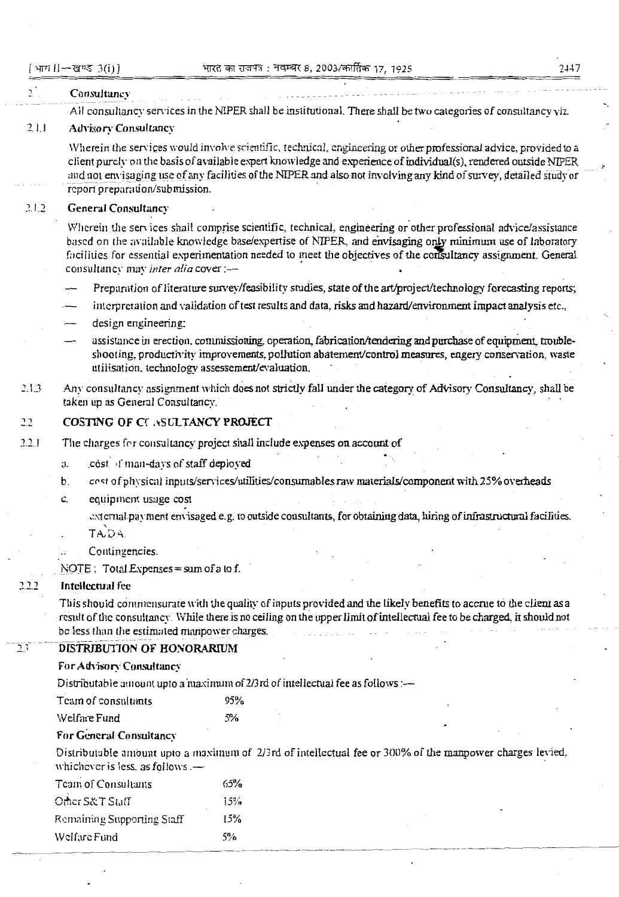### 2447

#### $\mathcal{L}$ Consultancy

All consultancy services in the NIPER shall be institutional. There shall be two categories of consultancy viz.

### $211$ **Advisory Consultancy**

Wherein the services would involve scientific, technical, engineering or other professional advice, provided to a client purely on the basis of available expert knowledge and experience of individual(s), rendered outside NIPER and not envisaging use of any facilities of the NIPER and also not involving any kind of survey, detailed study or report preparation/submission.

### $21.2$ **General Consultancy**

Wherein the services shall comprise scientific, technical, engineering or other professional advice/assistance based on the available knowledge base/expertise of NIPER, and envisaging only minimum use of laboratory facilities for essential experimentation needed to meet the objectives of the consultancy assignment. General consultancy may inter alia cover :-

- Preparation of literature survey/feasibility studies, state of the art/project/technology forecasting reports;
- interpretation and validation of test results and data, risks and hazard/environment impact analysis etc..
- design engineering:
- assistance in erection, commissioning, operation, fabrication/tendering and purchase of equipment, troubleshooting, productivity improvements, pollution abatement/control measures, engery conservation, waste utilisation, technology assessement/evaluation.
- Any consultancy assignment which does not strictly fall under the category of Advisory Consultancy, shall be  $213$ taken up as General Consultancy.

#### $2.2$ COSTING OF CC ASULTANCY PROJECT

- $221$ The charges for consultancy project shall include expenses on account of
	- cost I man-days of staff deployed  $\mathbf{a}$
	- cost of physical inputs/services/utilities/consumables raw materials/component with 25% overheads  $\mathbf{b}$ .
	- c. equipment usage cost

external payment envisaged e.g. to outside consultants, for obtaining data, hiring of infrastructural facilities. TADA.

Contingencies.

NOTE:  $Total Express = sum of a to f.$ 

#### $2.2.2$ Intellectual fee

This should commensurate with the quality of inputs provided and the likely benefits to accrue to the client as a result of the consultancy. While there is no ceiling on the upper limit of intellectual fee to be charged, it should not be less than the estimated manpower charges.

#### DISTRIBUTION OF HONORARIUM つく

### For Advisory Consultancy

Distributable amount upto a maximum of 2/3rd of intellectual fee as follows :-

| Team of consultants | 95% |
|---------------------|-----|
| Welfare Fund        | 5%  |

### For General Consultancy

Distributable amount upto a maximum of 2/3rd of intellectual fee or 300% of the manpower charges levied, whichever is less, as follows .-

| Team of Consultants        | 65% |
|----------------------------|-----|
| Other S&T Staff            | 15% |
| Remaining Supporting Staff | 15% |
| Welfare Fund               | 5%  |